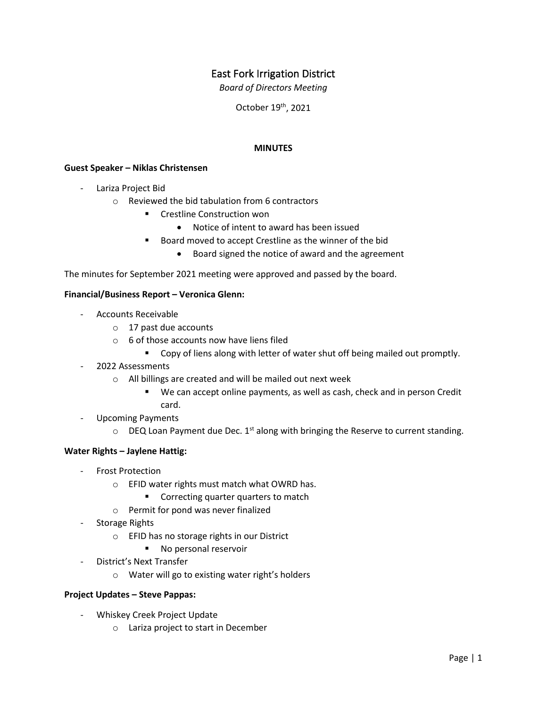# East Fork Irrigation District

*Board of Directors Meeting*

October 19th, 2021

## **MINUTES**

### **Guest Speaker – Niklas Christensen**

- Lariza Project Bid
	- o Reviewed the bid tabulation from 6 contractors
		- **EXECTE:** Crestline Construction won
			- Notice of intent to award has been issued
		- Board moved to accept Crestline as the winner of the bid
			- Board signed the notice of award and the agreement

The minutes for September 2021 meeting were approved and passed by the board.

## **Financial/Business Report – Veronica Glenn:**

- Accounts Receivable
	- o 17 past due accounts
	- o 6 of those accounts now have liens filed
		- **Copy of liens along with letter of water shut off being mailed out promptly.**
- 2022 Assessments
	- o All billings are created and will be mailed out next week
		- We can accept online payments, as well as cash, check and in person Credit card.
- Upcoming Payments
	- $\circ$  DEQ Loan Payment due Dec. 1<sup>st</sup> along with bringing the Reserve to current standing.

#### **Water Rights – Jaylene Hattig:**

- Frost Protection
	- o EFID water rights must match what OWRD has.
		- **Correcting quarter quarters to match**
	- o Permit for pond was never finalized
- Storage Rights
	- o EFID has no storage rights in our District
		- No personal reservoir
- District's Next Transfer
	- o Water will go to existing water right's holders

#### **Project Updates – Steve Pappas:**

- Whiskey Creek Project Update
	- o Lariza project to start in December